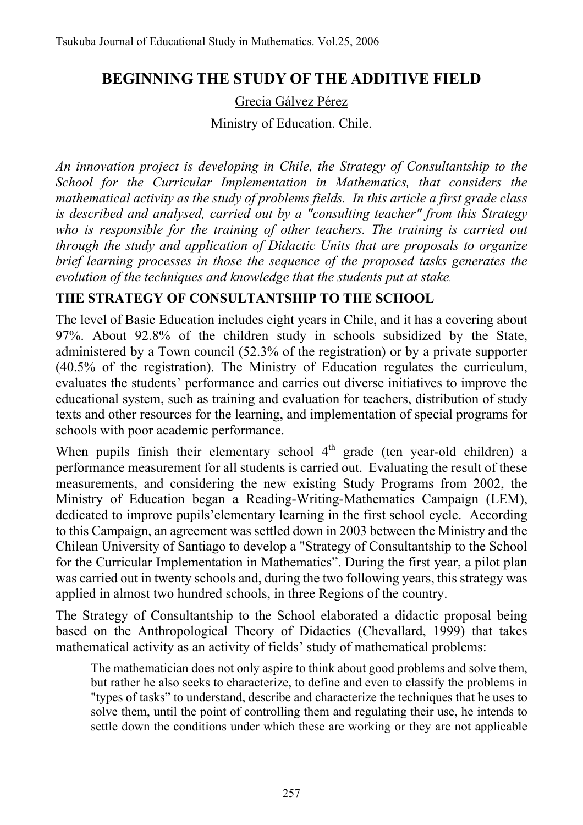## **BEGINNING THE STUDY OF THE ADDITIVE FIELD**

Grecia Gálvez Pérez

Ministry of Education. Chile.

*An innovation project is developing in Chile, the Strategy of Consultantship to the School for the Curricular Implementation in Mathematics, that considers the mathematical activity as the study of problems fields. In this article a first grade class is described and analysed, carried out by a "consulting teacher" from this Strategy who is responsible for the training of other teachers. The training is carried out through the study and application of Didactic Units that are proposals to organize brief learning processes in those the sequence of the proposed tasks generates the evolution of the techniques and knowledge that the students put at stake.* 

## **THE STRATEGY OF CONSULTANTSHIP TO THE SCHOOL**

The level of Basic Education includes eight years in Chile, and it has a covering about 97%. About 92.8% of the children study in schools subsidized by the State, administered by a Town council (52.3% of the registration) or by a private supporter (40.5% of the registration). The Ministry of Education regulates the curriculum, evaluates the students' performance and carries out diverse initiatives to improve the educational system, such as training and evaluation for teachers, distribution of study texts and other resources for the learning, and implementation of special programs for schools with poor academic performance.

When pupils finish their elementary school  $4<sup>th</sup>$  grade (ten year-old children) a performance measurement for all students is carried out. Evaluating the result of these measurements, and considering the new existing Study Programs from 2002, the Ministry of Education began a Reading-Writing-Mathematics Campaign (LEM), dedicated to improve pupils'elementary learning in the first school cycle. According to this Campaign, an agreement was settled down in 2003 between the Ministry and the Chilean University of Santiago to develop a "Strategy of Consultantship to the School for the Curricular Implementation in Mathematics". During the first year, a pilot plan was carried out in twenty schools and, during the two following years, this strategy was applied in almost two hundred schools, in three Regions of the country.

The Strategy of Consultantship to the School elaborated a didactic proposal being based on the Anthropological Theory of Didactics (Chevallard, 1999) that takes mathematical activity as an activity of fields' study of mathematical problems:

The mathematician does not only aspire to think about good problems and solve them, but rather he also seeks to characterize, to define and even to classify the problems in "types of tasks" to understand, describe and characterize the techniques that he uses to solve them, until the point of controlling them and regulating their use, he intends to settle down the conditions under which these are working or they are not applicable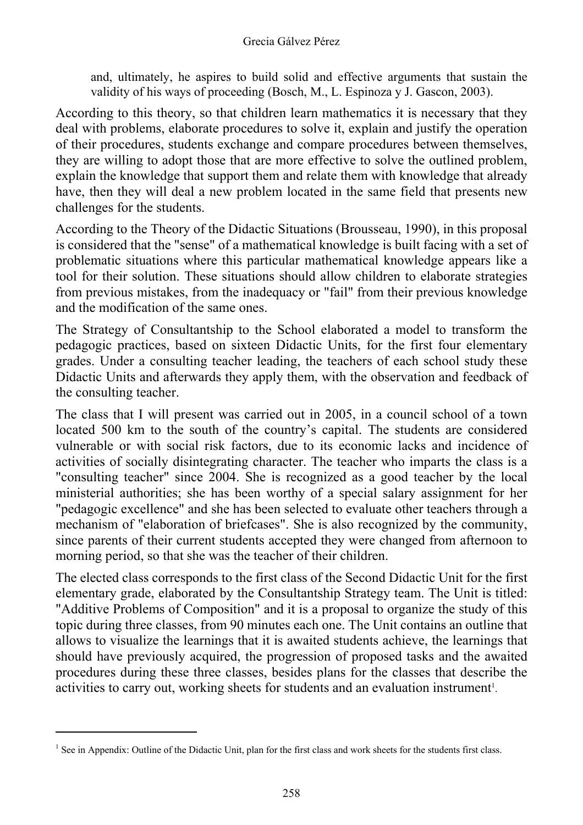and, ultimately, he aspires to build solid and effective arguments that sustain the validity of his ways of proceeding (Bosch, M., L. Espinoza y J. Gascon, 2003).

According to this theory, so that children learn mathematics it is necessary that they deal with problems, elaborate procedures to solve it, explain and justify the operation of their procedures, students exchange and compare procedures between themselves, they are willing to adopt those that are more effective to solve the outlined problem, explain the knowledge that support them and relate them with knowledge that already have, then they will deal a new problem located in the same field that presents new challenges for the students.

According to the Theory of the Didactic Situations (Brousseau, 1990), in this proposal is considered that the "sense" of a mathematical knowledge is built facing with a set of problematic situations where this particular mathematical knowledge appears like a tool for their solution. These situations should allow children to elaborate strategies from previous mistakes, from the inadequacy or "fail" from their previous knowledge and the modification of the same ones.

The Strategy of Consultantship to the School elaborated a model to transform the pedagogic practices, based on sixteen Didactic Units, for the first four elementary grades. Under a consulting teacher leading, the teachers of each school study these Didactic Units and afterwards they apply them, with the observation and feedback of the consulting teacher.

The class that I will present was carried out in 2005, in a council school of a town located 500 km to the south of the country's capital. The students are considered vulnerable or with social risk factors, due to its economic lacks and incidence of activities of socially disintegrating character. The teacher who imparts the class is a "consulting teacher" since 2004. She is recognized as a good teacher by the local ministerial authorities; she has been worthy of a special salary assignment for her "pedagogic excellence" and she has been selected to evaluate other teachers through a mechanism of "elaboration of briefcases". She is also recognized by the community, since parents of their current students accepted they were changed from afternoon to morning period, so that she was the teacher of their children.

The elected class corresponds to the first class of the Second Didactic Unit for the first elementary grade, elaborated by the Consultantship Strategy team. The Unit is titled: "Additive Problems of Composition" and it is a proposal to organize the study of this topic during three classes, from 90 minutes each one. The Unit contains an outline that allows to visualize the learnings that it is awaited students achieve, the learnings that should have previously acquired, the progression of proposed tasks and the awaited procedures during these three classes, besides plans for the classes that describe the activities to carry out, working sheets for students and an evaluation instrument<sup>1</sup>.

 $\overline{a}$ 

<sup>&</sup>lt;sup>1</sup> See in Appendix: Outline of the Didactic Unit, plan for the first class and work sheets for the students first class.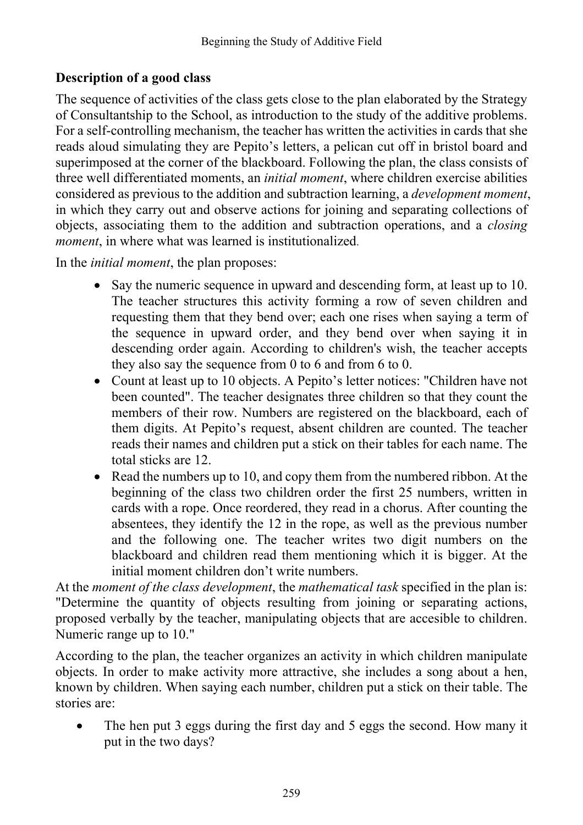## **Description of a good class**

The sequence of activities of the class gets close to the plan elaborated by the Strategy of Consultantship to the School, as introduction to the study of the additive problems. For a self-controlling mechanism, the teacher has written the activities in cards that she reads aloud simulating they are Pepito's letters, a pelican cut off in bristol board and superimposed at the corner of the blackboard. Following the plan, the class consists of three well differentiated moments, an *initial moment*, where children exercise abilities considered as previous to the addition and subtraction learning, a *development moment*, in which they carry out and observe actions for joining and separating collections of objects, associating them to the addition and subtraction operations, and a *closing moment*, in where what was learned is institutionalized.

In the *initial moment*, the plan proposes:

- Say the numeric sequence in upward and descending form, at least up to 10. The teacher structures this activity forming a row of seven children and requesting them that they bend over; each one rises when saying a term of the sequence in upward order, and they bend over when saying it in descending order again. According to children's wish, the teacher accepts they also say the sequence from 0 to 6 and from 6 to 0.
- Count at least up to 10 objects. A Pepito's letter notices: "Children have not been counted". The teacher designates three children so that they count the members of their row. Numbers are registered on the blackboard, each of them digits. At Pepito's request, absent children are counted. The teacher reads their names and children put a stick on their tables for each name. The total sticks are 12.
- Read the numbers up to 10, and copy them from the numbered ribbon. At the beginning of the class two children order the first 25 numbers, written in cards with a rope. Once reordered, they read in a chorus. After counting the absentees, they identify the 12 in the rope, as well as the previous number and the following one. The teacher writes two digit numbers on the blackboard and children read them mentioning which it is bigger. At the initial moment children don't write numbers.

At the *moment of the class development*, the *mathematical task* specified in the plan is: "Determine the quantity of objects resulting from joining or separating actions, proposed verbally by the teacher, manipulating objects that are accesible to children. Numeric range up to 10."

According to the plan, the teacher organizes an activity in which children manipulate objects. In order to make activity more attractive, she includes a song about a hen, known by children. When saying each number, children put a stick on their table. The stories are:

• The hen put 3 eggs during the first day and 5 eggs the second. How many it put in the two days?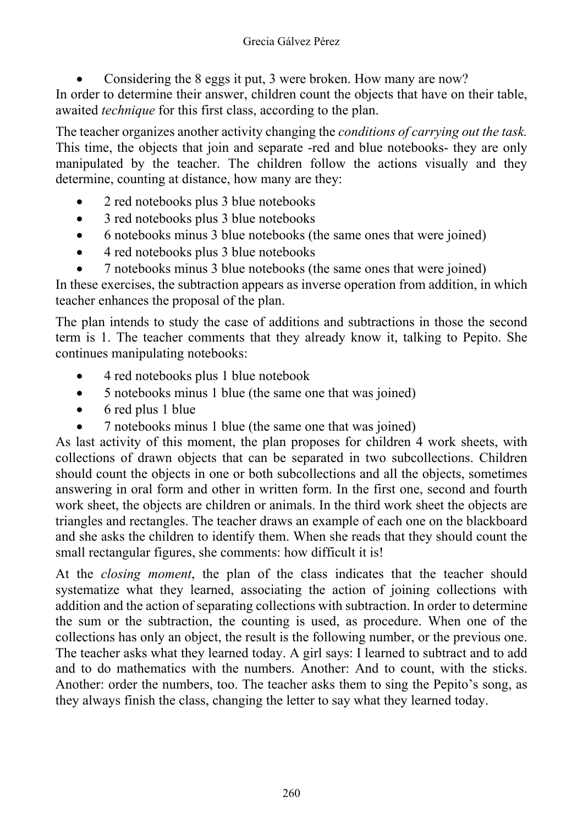• Considering the 8 eggs it put, 3 were broken. How many are now?

In order to determine their answer, children count the objects that have on their table, awaited *technique* for this first class, according to the plan.

The teacher organizes another activity changing the *conditions of carrying out the task.* This time, the objects that join and separate -red and blue notebooks- they are only manipulated by the teacher. The children follow the actions visually and they determine, counting at distance, how many are they:

- 2 red notebooks plus 3 blue notebooks
- 3 red notebooks plus 3 blue notebooks
- 6 notebooks minus 3 blue notebooks (the same ones that were joined)
- 4 red notebooks plus 3 blue notebooks
- 7 notebooks minus 3 blue notebooks (the same ones that were joined)

In these exercises, the subtraction appears as inverse operation from addition, in which teacher enhances the proposal of the plan.

The plan intends to study the case of additions and subtractions in those the second term is 1. The teacher comments that they already know it, talking to Pepito. She continues manipulating notebooks:

- 4 red notebooks plus 1 blue notebook
- 5 notebooks minus 1 blue (the same one that was joined)
- 6 red plus 1 blue
- 7 notebooks minus 1 blue (the same one that was joined)

As last activity of this moment, the plan proposes for children 4 work sheets, with collections of drawn objects that can be separated in two subcollections. Children should count the objects in one or both subcollections and all the objects, sometimes answering in oral form and other in written form. In the first one, second and fourth work sheet, the objects are children or animals. In the third work sheet the objects are triangles and rectangles. The teacher draws an example of each one on the blackboard and she asks the children to identify them. When she reads that they should count the small rectangular figures, she comments: how difficult it is!

At the *closing moment*, the plan of the class indicates that the teacher should systematize what they learned, associating the action of joining collections with addition and the action of separating collections with subtraction. In order to determine the sum or the subtraction, the counting is used, as procedure. When one of the collections has only an object, the result is the following number, or the previous one. The teacher asks what they learned today. A girl says: I learned to subtract and to add and to do mathematics with the numbers. Another: And to count, with the sticks. Another: order the numbers, too. The teacher asks them to sing the Pepito's song, as they always finish the class, changing the letter to say what they learned today.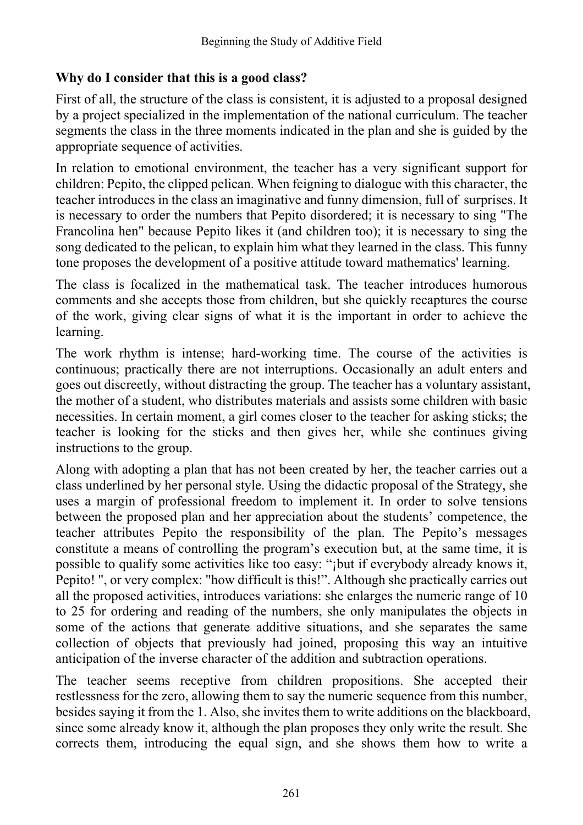## **Why do I consider that this is a good class?**

First of all, the structure of the class is consistent, it is adjusted to a proposal designed by a project specialized in the implementation of the national curriculum. The teacher segments the class in the three moments indicated in the plan and she is guided by the appropriate sequence of activities.

In relation to emotional environment, the teacher has a very significant support for children: Pepito, the clipped pelican. When feigning to dialogue with this character, the teacher introduces in the class an imaginative and funny dimension, full of surprises. It is necessary to order the numbers that Pepito disordered; it is necessary to sing "The Francolina hen" because Pepito likes it (and children too); it is necessary to sing the song dedicated to the pelican, to explain him what they learned in the class. This funny tone proposes the development of a positive attitude toward mathematics' learning.

The class is focalized in the mathematical task. The teacher introduces humorous comments and she accepts those from children, but she quickly recaptures the course of the work, giving clear signs of what it is the important in order to achieve the learning.

The work rhythm is intense; hard-working time. The course of the activities is continuous; practically there are not interruptions. Occasionally an adult enters and goes out discreetly, without distracting the group. The teacher has a voluntary assistant, the mother of a student, who distributes materials and assists some children with basic necessities. In certain moment, a girl comes closer to the teacher for asking sticks; the teacher is looking for the sticks and then gives her, while she continues giving instructions to the group.

Along with adopting a plan that has not been created by her, the teacher carries out a class underlined by her personal style. Using the didactic proposal of the Strategy, she uses a margin of professional freedom to implement it. In order to solve tensions between the proposed plan and her appreciation about the students' competence, the teacher attributes Pepito the responsibility of the plan. The Pepito's messages constitute a means of controlling the program's execution but, at the same time, it is possible to qualify some activities like too easy: "¡but if everybody already knows it, Pepito! ", or very complex: "how difficult is this!". Although she practically carries out all the proposed activities, introduces variations: she enlarges the numeric range of 10 to 25 for ordering and reading of the numbers, she only manipulates the objects in some of the actions that generate additive situations, and she separates the same collection of objects that previously had joined, proposing this way an intuitive anticipation of the inverse character of the addition and subtraction operations.

The teacher seems receptive from children propositions. She accepted their restlessness for the zero, allowing them to say the numeric sequence from this number, besides saying it from the 1. Also, she invites them to write additions on the blackboard, since some already know it, although the plan proposes they only write the result. She corrects them, introducing the equal sign, and she shows them how to write a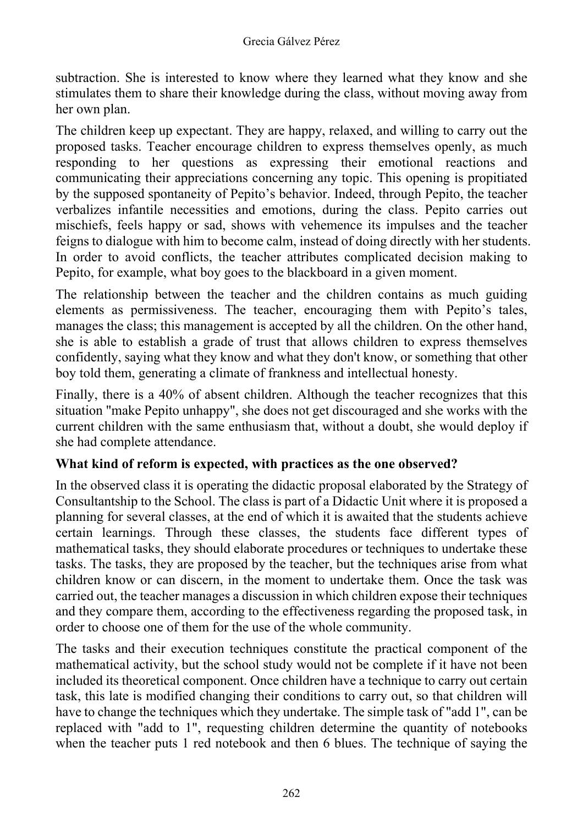subtraction. She is interested to know where they learned what they know and she stimulates them to share their knowledge during the class, without moving away from her own plan.

The children keep up expectant. They are happy, relaxed, and willing to carry out the proposed tasks. Teacher encourage children to express themselves openly, as much responding to her questions as expressing their emotional reactions and communicating their appreciations concerning any topic. This opening is propitiated by the supposed spontaneity of Pepito's behavior. Indeed, through Pepito, the teacher verbalizes infantile necessities and emotions, during the class. Pepito carries out mischiefs, feels happy or sad, shows with vehemence its impulses and the teacher feigns to dialogue with him to become calm, instead of doing directly with her students. In order to avoid conflicts, the teacher attributes complicated decision making to Pepito, for example, what boy goes to the blackboard in a given moment.

The relationship between the teacher and the children contains as much guiding elements as permissiveness. The teacher, encouraging them with Pepito's tales, manages the class; this management is accepted by all the children. On the other hand, she is able to establish a grade of trust that allows children to express themselves confidently, saying what they know and what they don't know, or something that other boy told them, generating a climate of frankness and intellectual honesty.

Finally, there is a 40% of absent children. Although the teacher recognizes that this situation "make Pepito unhappy", she does not get discouraged and she works with the current children with the same enthusiasm that, without a doubt, she would deploy if she had complete attendance.

## **What kind of reform is expected, with practices as the one observed?**

In the observed class it is operating the didactic proposal elaborated by the Strategy of Consultantship to the School. The class is part of a Didactic Unit where it is proposed a planning for several classes, at the end of which it is awaited that the students achieve certain learnings. Through these classes, the students face different types of mathematical tasks, they should elaborate procedures or techniques to undertake these tasks. The tasks, they are proposed by the teacher, but the techniques arise from what children know or can discern, in the moment to undertake them. Once the task was carried out, the teacher manages a discussion in which children expose their techniques and they compare them, according to the effectiveness regarding the proposed task, in order to choose one of them for the use of the whole community.

The tasks and their execution techniques constitute the practical component of the mathematical activity, but the school study would not be complete if it have not been included its theoretical component. Once children have a technique to carry out certain task, this late is modified changing their conditions to carry out, so that children will have to change the techniques which they undertake. The simple task of "add 1", can be replaced with "add to 1", requesting children determine the quantity of notebooks when the teacher puts 1 red notebook and then 6 blues. The technique of saying the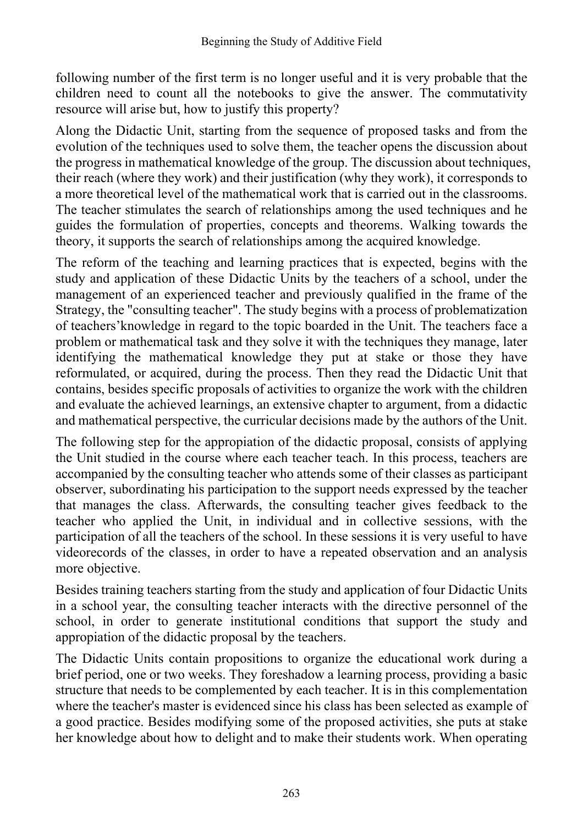following number of the first term is no longer useful and it is very probable that the children need to count all the notebooks to give the answer. The commutativity resource will arise but, how to justify this property?

Along the Didactic Unit, starting from the sequence of proposed tasks and from the evolution of the techniques used to solve them, the teacher opens the discussion about the progress in mathematical knowledge of the group. The discussion about techniques, their reach (where they work) and their justification (why they work), it corresponds to a more theoretical level of the mathematical work that is carried out in the classrooms. The teacher stimulates the search of relationships among the used techniques and he guides the formulation of properties, concepts and theorems. Walking towards the theory, it supports the search of relationships among the acquired knowledge.

The reform of the teaching and learning practices that is expected, begins with the study and application of these Didactic Units by the teachers of a school, under the management of an experienced teacher and previously qualified in the frame of the Strategy, the "consulting teacher". The study begins with a process of problematization of teachers'knowledge in regard to the topic boarded in the Unit. The teachers face a problem or mathematical task and they solve it with the techniques they manage, later identifying the mathematical knowledge they put at stake or those they have reformulated, or acquired, during the process. Then they read the Didactic Unit that contains, besides specific proposals of activities to organize the work with the children and evaluate the achieved learnings, an extensive chapter to argument, from a didactic and mathematical perspective, the curricular decisions made by the authors of the Unit.

The following step for the appropiation of the didactic proposal, consists of applying the Unit studied in the course where each teacher teach. In this process, teachers are accompanied by the consulting teacher who attends some of their classes as participant observer, subordinating his participation to the support needs expressed by the teacher that manages the class. Afterwards, the consulting teacher gives feedback to the teacher who applied the Unit, in individual and in collective sessions, with the participation of all the teachers of the school. In these sessions it is very useful to have videorecords of the classes, in order to have a repeated observation and an analysis more objective.

Besides training teachers starting from the study and application of four Didactic Units in a school year, the consulting teacher interacts with the directive personnel of the school, in order to generate institutional conditions that support the study and appropiation of the didactic proposal by the teachers.

The Didactic Units contain propositions to organize the educational work during a brief period, one or two weeks. They foreshadow a learning process, providing a basic structure that needs to be complemented by each teacher. It is in this complementation where the teacher's master is evidenced since his class has been selected as example of a good practice. Besides modifying some of the proposed activities, she puts at stake her knowledge about how to delight and to make their students work. When operating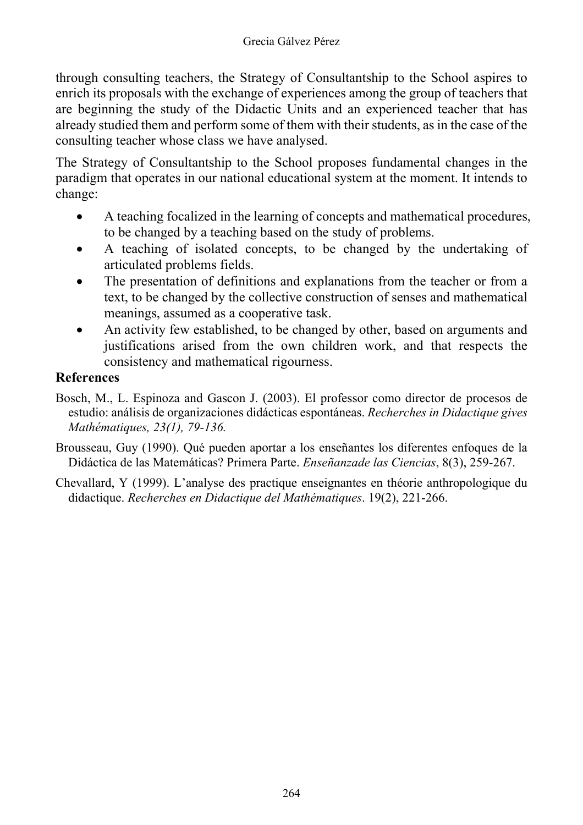through consulting teachers, the Strategy of Consultantship to the School aspires to enrich its proposals with the exchange of experiences among the group of teachers that are beginning the study of the Didactic Units and an experienced teacher that has already studied them and perform some of them with their students, as in the case of the consulting teacher whose class we have analysed.

The Strategy of Consultantship to the School proposes fundamental changes in the paradigm that operates in our national educational system at the moment. It intends to change:

- A teaching focalized in the learning of concepts and mathematical procedures, to be changed by a teaching based on the study of problems.
- A teaching of isolated concepts, to be changed by the undertaking of articulated problems fields.
- The presentation of definitions and explanations from the teacher or from a text, to be changed by the collective construction of senses and mathematical meanings, assumed as a cooperative task.
- An activity few established, to be changed by other, based on arguments and justifications arised from the own children work, and that respects the consistency and mathematical rigourness.

## **References**

- Bosch, M., L. Espinoza and Gascon J. (2003). El professor como director de procesos de estudio: análisis de organizaciones didácticas espontáneas. *Recherches in Didactique gives Mathématiques, 23(1), 79-136.*
- Brousseau, Guy (1990). Qué pueden aportar a los enseñantes los diferentes enfoques de la Didáctica de las Matemáticas? Primera Parte. *Enseñanzade las Ciencias*, 8(3), 259-267.
- Chevallard, Y (1999). L'analyse des practique enseignantes en théorie anthropologique du didactique. *Recherches en Didactique del Mathématiques*. 19(2), 221-266.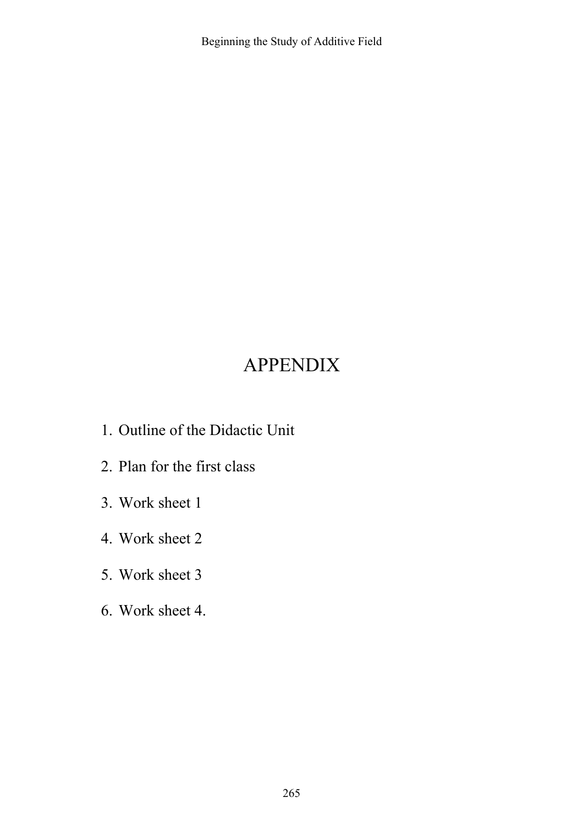# APPENDIX

- 1. Outline of the Didactic Unit
- 2. Plan for the first class
- 3. Work sheet 1
- 4. Work sheet 2
- 5. Work sheet 3
- 6. Work sheet 4.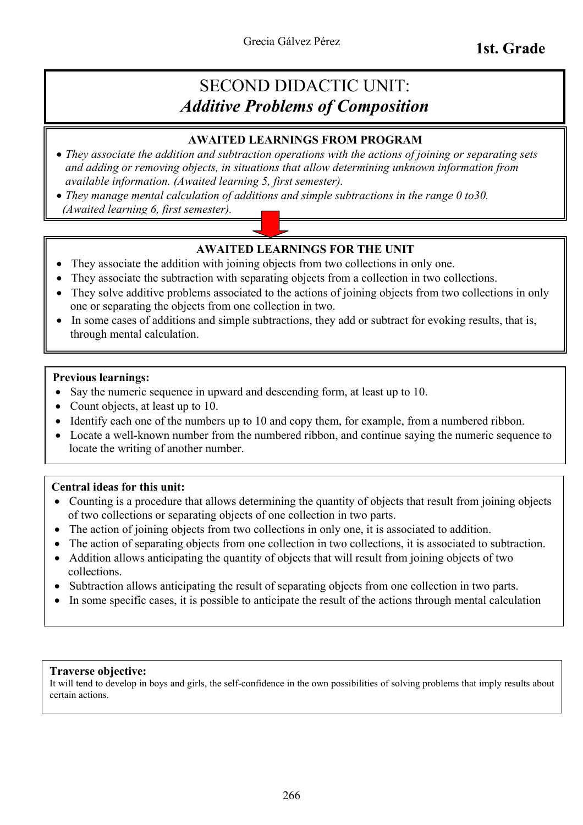## SECOND DIDACTIC UNIT: *Additive Problems of Composition*

### **AWAITED LEARNINGS FROM PROGRAM**

- *They associate the addition and subtraction operations with the actions of joining or separating sets and adding or removing objects, in situations that allow determining unknown information from available information. (Awaited learning 5, first semester).*
- *They manage mental calculation of additions and simple subtractions in the range 0 to30. (Awaited learning 6, first semester).*

### **AWAITED LEARNINGS FOR THE UNIT**

- They associate the addition with joining objects from two collections in only one.
- They associate the subtraction with separating objects from a collection in two collections.
- They solve additive problems associated to the actions of joining objects from two collections in only one or separating the objects from one collection in two.
- In some cases of additions and simple subtractions, they add or subtract for evoking results, that is, through mental calculation.

### **Previous learnings:**

- Say the numeric sequence in upward and descending form, at least up to 10.
- Count objects, at least up to 10.
- Identify each one of the numbers up to 10 and copy them, for example, from a numbered ribbon.
- Locate a well-known number from the numbered ribbon, and continue saying the numeric sequence to locate the writing of another number.

### **Central ideas for this unit:**

- Counting is a procedure that allows determining the quantity of objects that result from joining objects of two collections or separating objects of one collection in two parts.
- The action of joining objects from two collections in only one, it is associated to addition.
- The action of separating objects from one collection in two collections, it is associated to subtraction.
- Addition allows anticipating the quantity of objects that will result from joining objects of two collections.
- Subtraction allows anticipating the result of separating objects from one collection in two parts.
- In some specific cases, it is possible to anticipate the result of the actions through mental calculation

#### **Traverse objective:**

It will tend to develop in boys and girls, the self-confidence in the own possibilities of solving problems that imply results about certain actions.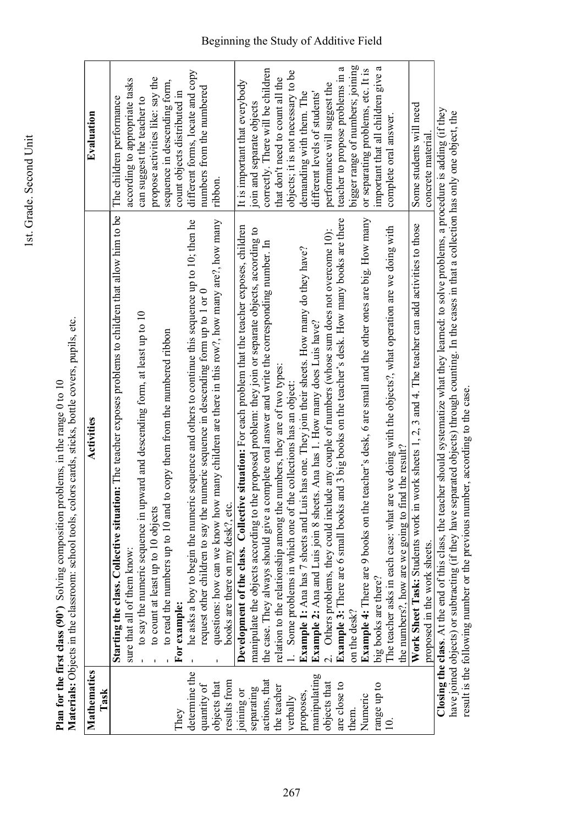|                     | Materials: Objects in the classroom: school tools, colors cards, sticks, bottle covers, pupils, etc.                              |                                     |
|---------------------|-----------------------------------------------------------------------------------------------------------------------------------|-------------------------------------|
| Mathematics<br>Task | Activities                                                                                                                        | Evaluation                          |
|                     | Starting the class. Collective situation: The teacher exposes problems to children that allow him to be                           | The children performance            |
|                     | sure that all of them know:                                                                                                       | according to appropriate tasks      |
|                     | to say the numeric sequence in upward and descending form, at least up to 10                                                      | can suggest the teacher to          |
|                     | to count at least up to 10 objects                                                                                                | propose activities like: say the    |
|                     | to copy them from the numbered ribbon<br>to read the numbers up to 10 and t                                                       | sequence in descending form,        |
| They                | For example:                                                                                                                      | count objects distributed in        |
| determine the       | he asks a boy to begin the numeric sequence and others to continue this sequence up to 10; then he                                | different forms, locate and copy    |
| quantity of         | request other children to say the numeric sequence in descending form up to 1 or 0                                                | numbers from the numbered           |
| objects that        | questions: how can we know how many children are there in this row?, how many are?, how many                                      | ribbon.                             |
| results from        | books are there on my desk?, etc.                                                                                                 |                                     |
| joining or          | Development of the class. Collective situation: For each problem that the teacher exposes, children                               | It is important that everybody      |
| separating          | manipulate the objects according to the proposed problem: they join or separate objects, according to                             | join and separate objects           |
| actions, that       | the case. They always should give a complete oral answer and write the corresponding number. In                                   | correctly. There will be children   |
| the teacher         | relation to the relationship among the numbers, they are of two types                                                             | that don't need to count all the    |
| verbally            | Some problems in which one of the collections has an object:                                                                      | objects; it is not necessary to be  |
| proposes,           | <b>Example 1:</b> Ana has 7 sheets and Luis has one. They join their sheets. How many do they have?                               | demanding with them. The            |
| manipulating        | Example 2: Ana and Luis join 8 sheets. Ana has 1. How many does Luis have?                                                        | different levels of students'       |
| objects that        | 2. Others problems, they could include any couple of numbers (whose sum does not overcome 10):                                    | performance will suggest the        |
| are close to        | <b>Example 3:</b> There are 6 small books and 3 big books on the teacher's desk. How many books are there                         | a<br>teacher to propose problems in |
| them.               | on the desk?                                                                                                                      | bigger range of numbers; joining    |
| Numeric             | Example 4: There are 9 books on the teacher's desk, 6 are small and the other ones are big. How many                              | or separating problems, etc. It is  |
| range up to         | big books are there?                                                                                                              | important that all children give a  |
|                     | The teacher asks in each case: what are we doing with the objects?, what operation are we doing with                              | complete oral answer                |
|                     | the numbers?, how are we going to find the result?                                                                                |                                     |
|                     | Work Sheet Task: Students work in work sheets 1, 2, 3 and 4. The teacher can add activities to those                              | Some students will need             |
|                     | proposed in the work sheets.                                                                                                      | concrete material                   |
|                     | Olasius the alone A+the and of this olasi the theoreolase that decreases what there are also also alone and a second the lighteen |                                     |

Plan for the first class (90') Solving composition problems, in the range 0 to 10 **Plan for the first class (90')** Solving composition problems, in the range 0 to 10

1st. Grade. Second Unit

1st. Grade. Second Unit

Closing the class. At the end of this class, the teacher should systematize what they learned: to solve problems, a procedure is adding (if they<br>have joined objects) or subtracting (if they have separated objects) through **Closing the class**. At the end of this class, the teacher should systematize what they learned: to solve problems, a procedure is adding (if they have joined objects) or subtracting (if they have separated objects) through counting. In the cases in that a collection has only one object, the result is the following number or the previous number, according to the case.

## Beginning the Study of Additive Field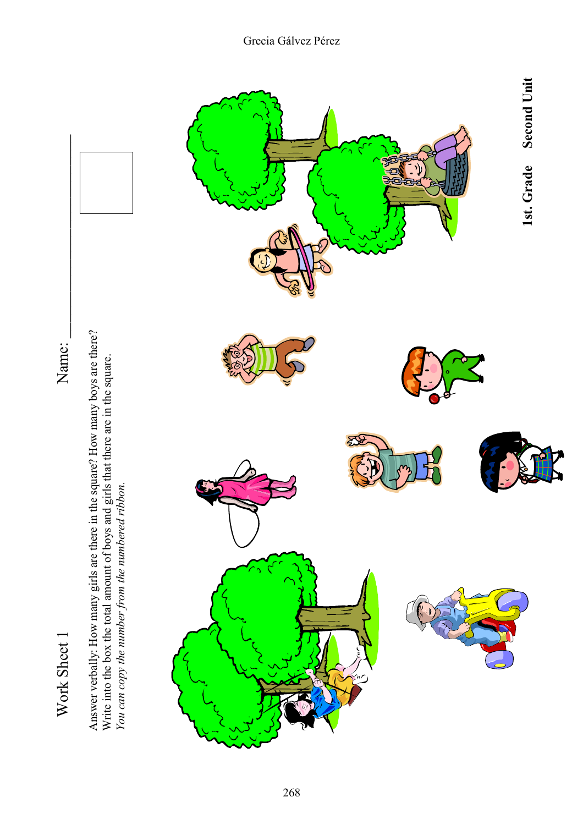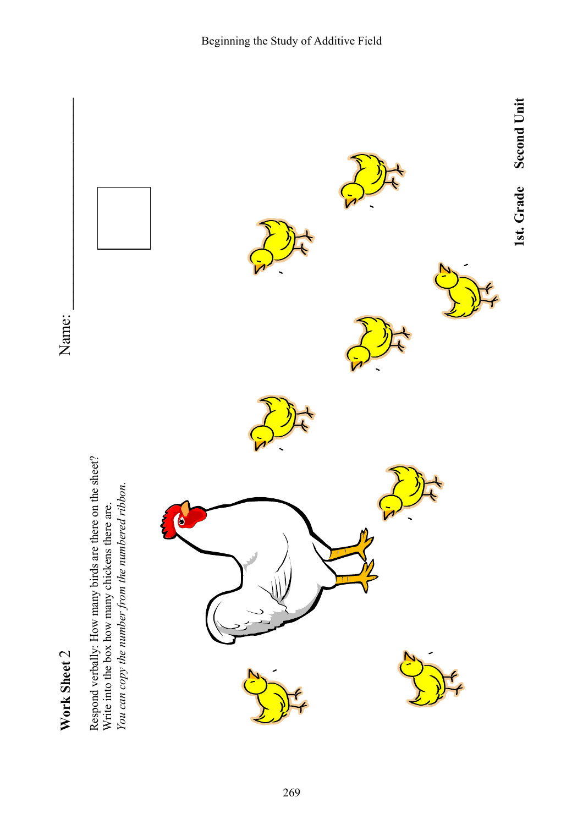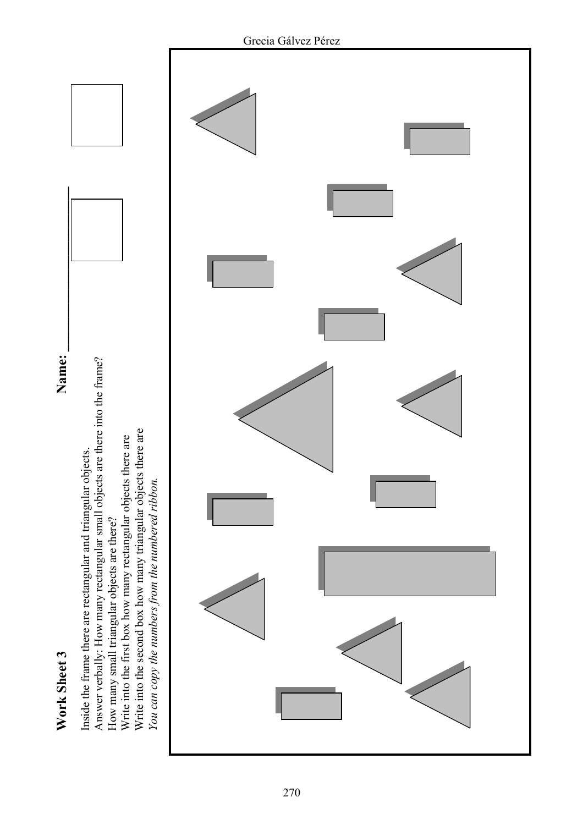